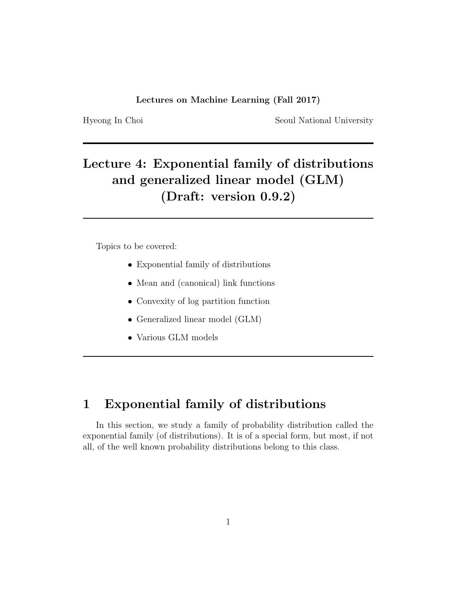Hyeong In Choi Seoul National University

# Lecture 4: Exponential family of distributions and generalized linear model (GLM) (Draft: version 0.9.2)

Topics to be covered:

- Exponential family of distributions
- Mean and (canonical) link functions
- Convexity of log partition function
- Generalized linear model (GLM)
- Various GLM models

# 1 Exponential family of distributions

In this section, we study a family of probability distribution called the exponential family (of distributions). It is of a special form, but most, if not all, of the well known probability distributions belong to this class.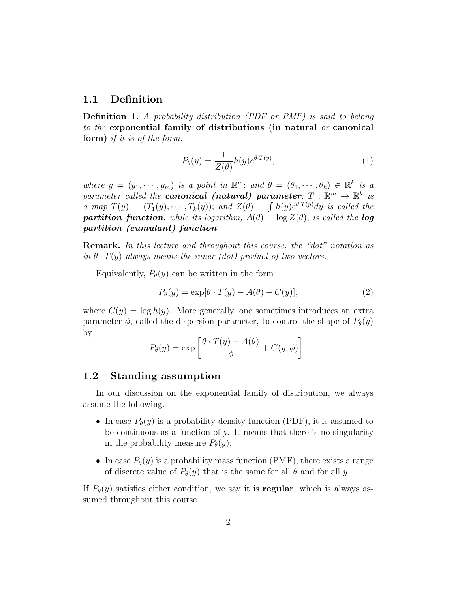# 1.1 Definition

Definition 1. A probability distribution (PDF or PMF) is said to belong to the exponential family of distributions (in natural or canonical form) if it is of the form.

$$
P_{\theta}(y) = \frac{1}{Z(\theta)} h(y) e^{\theta \cdot T(y)},\tag{1}
$$

where  $y = (y_1, \dots, y_m)$  is a point in  $\mathbb{R}^m$ ; and  $\theta = (\theta_1, \dots, \theta_k) \in \mathbb{R}^k$  is a parameter called the **canonical (natural) parameter**;  $T : \mathbb{R}^m \to \mathbb{R}^k$  is a map  $T(y) = (T_1(y), \cdots, T_k(y));$  and  $Z(\theta) = \int h(y)e^{\theta T(y)} dy$  is called the **partition function**, while its logarithm,  $A(\theta) = \log Z(\theta)$ , is called the **log** partition (cumulant) function.

Remark. In this lecture and throughout this course, the "dot" notation as in  $\theta \cdot T(y)$  always means the inner (dot) product of two vectors.

Equivalently,  $P_{\theta}(y)$  can be written in the form

$$
P_{\theta}(y) = \exp[\theta \cdot T(y) - A(\theta) + C(y)],\tag{2}
$$

where  $C(y) = \log h(y)$ . More generally, one sometimes introduces an extra parameter  $\phi$ , called the dispersion parameter, to control the shape of  $P_{\theta}(y)$ by

$$
P_{\theta}(y) = \exp \left[\frac{\theta \cdot T(y) - A(\theta)}{\phi} + C(y, \phi)\right].
$$

# 1.2 Standing assumption

In our discussion on the exponential family of distribution, we always assume the following.

- In case  $P_{\theta}(y)$  is a probability density function (PDF), it is assumed to be continuous as a function of y. It means that there is no singularity in the probability measure  $P_{\theta}(y)$ ;
- In case  $P_{\theta}(y)$  is a probability mass function (PMF), there exists a range of discrete value of  $P_{\theta}(y)$  that is the same for all  $\theta$  and for all y.

If  $P_{\theta}(y)$  satisfies either condition, we say it is **regular**, which is always assumed throughout this course.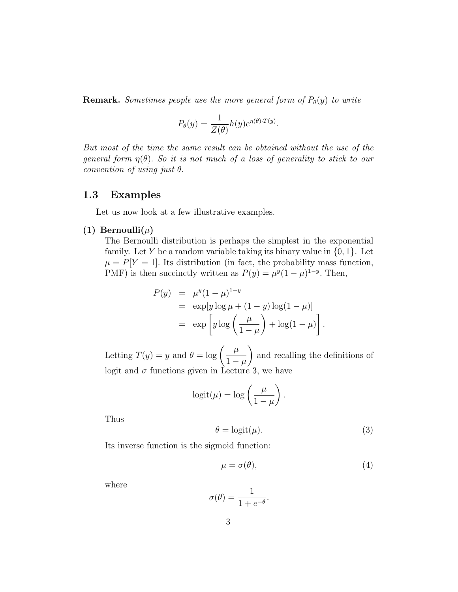**Remark.** Sometimes people use the more general form of  $P_{\theta}(y)$  to write

$$
P_{\theta}(y) = \frac{1}{Z(\theta)} h(y) e^{\eta(\theta) \cdot T(y)}.
$$

But most of the time the same result can be obtained without the use of the general form  $\eta(\theta)$ . So it is not much of a loss of generality to stick to our convention of using just  $\theta$ .

# 1.3 Examples

Let us now look at a few illustrative examples.

(1) Bernoulli $(\mu)$ 

The Bernoulli distribution is perhaps the simplest in the exponential family. Let Y be a random variable taking its binary value in  $\{0, 1\}$ . Let  $\mu = P[Y = 1]$ . Its distribution (in fact, the probability mass function, PMF) is then succinctly written as  $P(y) = \mu^{y}(1-\mu)^{1-y}$ . Then,

$$
P(y) = \mu^{y} (1 - \mu)^{1-y}
$$
  
= 
$$
\exp[y \log \mu + (1 - y) \log(1 - \mu)]
$$
  
= 
$$
\exp\left[y \log \left(\frac{\mu}{1 - \mu}\right) + \log(1 - \mu)\right].
$$

Letting  $T(y) = y$  and  $\theta = \log \left( \frac{\mu}{1 - y} \right)$  $1-\mu$  $\setminus$ and recalling the definitions of logit and  $\sigma$  functions given in Lecture 3, we have

$$
logit(\mu) = log\left(\frac{\mu}{1-\mu}\right).
$$

Thus

$$
\theta = \text{logit}(\mu). \tag{3}
$$

Its inverse function is the sigmoid function:

$$
\mu = \sigma(\theta),\tag{4}
$$

where

$$
\sigma(\theta) = \frac{1}{1 + e^{-\theta}}.
$$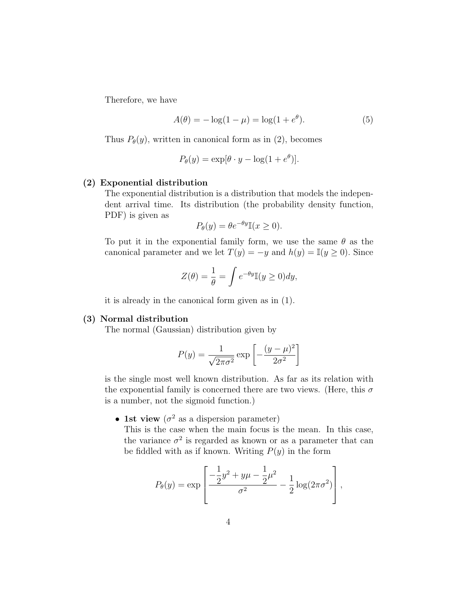Therefore, we have

$$
A(\theta) = -\log(1 - \mu) = \log(1 + e^{\theta}).
$$
 (5)

Thus  $P_{\theta}(y)$ , written in canonical form as in (2), becomes

$$
P_{\theta}(y) = \exp[\theta \cdot y - \log(1 + e^{\theta})].
$$

### (2) Exponential distribution

The exponential distribution is a distribution that models the independent arrival time. Its distribution (the probability density function, PDF) is given as

$$
P_{\theta}(y) = \theta e^{-\theta y} \mathbb{I}(x \ge 0).
$$

To put it in the exponential family form, we use the same  $\theta$  as the canonical parameter and we let  $T(y) = -y$  and  $h(y) = \mathbb{I}(y \ge 0)$ . Since

$$
Z(\theta) = \frac{1}{\theta} = \int e^{-\theta y} \mathbb{I}(y \ge 0) dy,
$$

it is already in the canonical form given as in (1).

#### (3) Normal distribution

The normal (Gaussian) distribution given by

$$
P(y) = \frac{1}{\sqrt{2\pi\sigma^2}} \exp\left[-\frac{(y-\mu)^2}{2\sigma^2}\right]
$$

is the single most well known distribution. As far as its relation with the exponential family is concerned there are two views. (Here, this  $\sigma$ is a number, not the sigmoid function.)

• 1st view ( $\sigma^2$  as a dispersion parameter)

This is the case when the main focus is the mean. In this case, the variance  $\sigma^2$  is regarded as known or as a parameter that can be fiddled with as if known. Writing  $P(y)$  in the form

$$
P_{\theta}(y) = \exp\left[\frac{-\frac{1}{2}y^2 + y\mu - \frac{1}{2}\mu^2}{\sigma^2} - \frac{1}{2}\log(2\pi\sigma^2)\right],
$$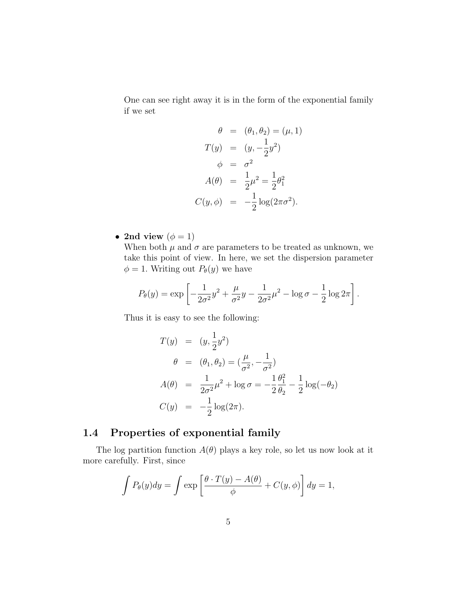One can see right away it is in the form of the exponential family if we set

$$
\theta = (\theta_1, \theta_2) = (\mu, 1) \nT(y) = (y, -\frac{1}{2}y^2) \n\phi = \sigma^2 \nA(\theta) = \frac{1}{2}\mu^2 = \frac{1}{2}\theta_1^2 \nC(y, \phi) = -\frac{1}{2}\log(2\pi\sigma^2).
$$

• 2nd view  $(\phi = 1)$ 

When both  $\mu$  and  $\sigma$  are parameters to be treated as unknown, we take this point of view. In here, we set the dispersion parameter  $\phi = 1$ . Writing out  $P_{\theta}(y)$  we have

$$
P_{\theta}(y) = \exp \left[ -\frac{1}{2\sigma^2} y^2 + \frac{\mu}{\sigma^2} y - \frac{1}{2\sigma^2} \mu^2 - \log \sigma - \frac{1}{2} \log 2\pi \right].
$$

Thus it is easy to see the following:

$$
T(y) = (y, \frac{1}{2}y^2)
$$
  
\n
$$
\theta = (\theta_1, \theta_2) = (\frac{\mu}{\sigma^2}, -\frac{1}{\sigma^2})
$$
  
\n
$$
A(\theta) = \frac{1}{2\sigma^2}\mu^2 + \log \sigma = -\frac{1}{2}\frac{\theta_1^2}{\theta_2} - \frac{1}{2}\log(-\theta_2)
$$
  
\n
$$
C(y) = -\frac{1}{2}\log(2\pi).
$$

# 1.4 Properties of exponential family

The log partition function  $A(\theta)$  plays a key role, so let us now look at it more carefully. First, since

$$
\int P_{\theta}(y)dy = \int \exp\left[\frac{\theta \cdot T(y) - A(\theta)}{\phi} + C(y, \phi)\right]dy = 1,
$$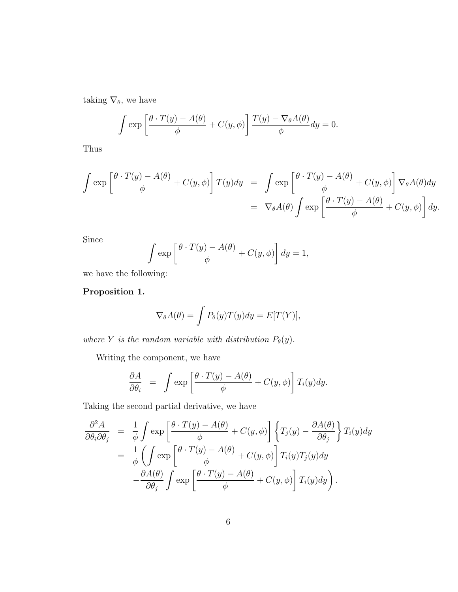taking  $\nabla_{\theta}$  we have

$$
\int \exp\left[\frac{\theta \cdot T(y) - A(\theta)}{\phi} + C(y, \phi)\right] \frac{T(y) - \nabla_{\theta}A(\theta)}{\phi} dy = 0.
$$

Thus

$$
\int \exp\left[\frac{\theta \cdot T(y) - A(\theta)}{\phi} + C(y, \phi)\right] T(y) dy = \int \exp\left[\frac{\theta \cdot T(y) - A(\theta)}{\phi} + C(y, \phi)\right] \nabla_{\theta} A(\theta) dy
$$

$$
= \nabla_{\theta} A(\theta) \int \exp\left[\frac{\theta \cdot T(y) - A(\theta)}{\phi} + C(y, \phi)\right] dy.
$$

Since

$$
\int \exp\left[\frac{\theta \cdot T(y) - A(\theta)}{\phi} + C(y, \phi)\right] dy = 1,
$$

we have the following:

# Proposition 1.

$$
\nabla_{\theta}A(\theta) = \int P_{\theta}(y)T(y)dy = E[T(Y)],
$$

where Y is the random variable with distribution  $P_{\theta}(y)$ .

Writing the component, we have

$$
\frac{\partial A}{\partial \theta_i} = \int \exp\left[\frac{\theta \cdot T(y) - A(\theta)}{\phi} + C(y, \phi)\right] T_i(y) dy.
$$

Taking the second partial derivative, we have

$$
\frac{\partial^2 A}{\partial \theta_i \partial \theta_j} = \frac{1}{\phi} \int \exp\left[\frac{\theta \cdot T(y) - A(\theta)}{\phi} + C(y, \phi)\right] \left\{T_j(y) - \frac{\partial A(\theta)}{\partial \theta_j}\right\} T_i(y) dy
$$

$$
= \frac{1}{\phi} \left(\int \exp\left[\frac{\theta \cdot T(y) - A(\theta)}{\phi} + C(y, \phi)\right] T_i(y) T_j(y) dy
$$

$$
- \frac{\partial A(\theta)}{\partial \theta_j} \int \exp\left[\frac{\theta \cdot T(y) - A(\theta)}{\phi} + C(y, \phi)\right] T_i(y) dy\right).
$$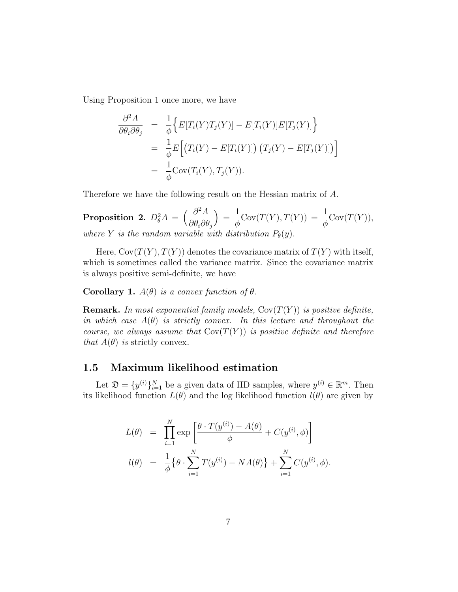Using Proposition 1 once more, we have

$$
\frac{\partial^2 A}{\partial \theta_i \partial \theta_j} = \frac{1}{\phi} \Big\{ E[T_i(Y)T_j(Y)] - E[T_i(Y)]E[T_j(Y)] \Big\}
$$
  
\n
$$
= \frac{1}{\phi} E\Big[ (T_i(Y) - E[T_i(Y)]) (T_j(Y) - E[T_j(Y)]) \Big]
$$
  
\n
$$
= \frac{1}{\phi} Cov(T_i(Y), T_j(Y)).
$$

Therefore we have the following result on the Hessian matrix of A.

Proposition 2.  $D^2_{\theta}A = \left(\frac{\partial^2 A}{\partial \theta \partial \theta}\right)^2$  $\partial\theta_i\partial\theta_j$  $=$ 1 φ  $Cov(T(Y),T(Y)) = \frac{1}{t}$ φ  $Cov(T(Y)),$ where Y is the random variable with distribution  $P_{\theta}(y)$ .

Here,  $Cov(T(Y), T(Y))$  denotes the covariance matrix of  $T(Y)$  with itself, which is sometimes called the variance matrix. Since the covariance matrix is always positive semi-definite, we have

## Corollary 1.  $A(\theta)$  is a convex function of  $\theta$ .

**Remark.** In most exponential family models,  $Cov(T(Y))$  is positive definite, in which case  $A(\theta)$  is strictly convex. In this lecture and throughout the course, we always assume that  $Cov(T(Y))$  is positive definite and therefore that  $A(\theta)$  is strictly convex.

## 1.5 Maximum likelihood estimation

Let  $\mathfrak{D} = \{y^{(i)}\}_{i=1}^N$  be a given data of IID samples, where  $y^{(i)} \in \mathbb{R}^m$ . Then its likelihood function  $L(\theta)$  and the log likelihood function  $l(\theta)$  are given by

$$
L(\theta) = \prod_{i=1}^{N} \exp \left[ \frac{\theta \cdot T(y^{(i)}) - A(\theta)}{\phi} + C(y^{(i)}, \phi) \right]
$$
  

$$
l(\theta) = \frac{1}{\phi} \{ \theta \cdot \sum_{i=1}^{N} T(y^{(i)}) - NA(\theta) \} + \sum_{i=1}^{N} C(y^{(i)}, \phi).
$$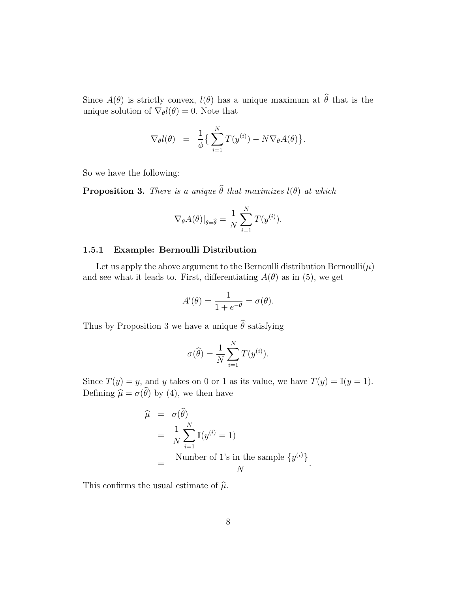Since  $A(\theta)$  is strictly convex,  $l(\theta)$  has a unique maximum at  $\widehat{\theta}$  that is the unique solution of  $\nabla_{\theta} l(\theta) = 0$ . Note that

$$
\nabla_{\theta} l(\theta) = \frac{1}{\phi} \left\{ \sum_{i=1}^{N} T(y^{(i)}) - N \nabla_{\theta} A(\theta) \right\}.
$$

So we have the following:

**Proposition 3.** There is a unique  $\widehat{\theta}$  that maximizes  $l(\theta)$  at which

$$
\nabla_{\theta} A(\theta)|_{\theta=\widehat{\theta}} = \frac{1}{N} \sum_{i=1}^{N} T(y^{(i)}).
$$

#### 1.5.1 Example: Bernoulli Distribution

Let us apply the above argument to the Bernoulli distribution Bernoulli $(\mu)$ and see what it leads to. First, differentiating  $A(\theta)$  as in (5), we get

$$
A'(\theta) = \frac{1}{1 + e^{-\theta}} = \sigma(\theta).
$$

Thus by Proposition 3 we have a unique  $\hat{\theta}$  satisfying

$$
\sigma(\widehat{\theta}) = \frac{1}{N} \sum_{i=1}^{N} T(y^{(i)}).
$$

Since  $T(y) = y$ , and y takes on 0 or 1 as its value, we have  $T(y) = \mathbb{I}(y = 1)$ . Defining  $\hat{\mu} = \sigma(\theta)$  by (4), we then have

$$
\widehat{\mu} = \sigma(\widehat{\theta})
$$
\n
$$
= \frac{1}{N} \sum_{i=1}^{N} \mathbb{I}(y^{(i)} = 1)
$$
\n
$$
= \frac{\text{Number of 1's in the sample } \{y^{(i)}\}}{N}.
$$

This confirms the usual estimate of  $\hat{\mu}$ .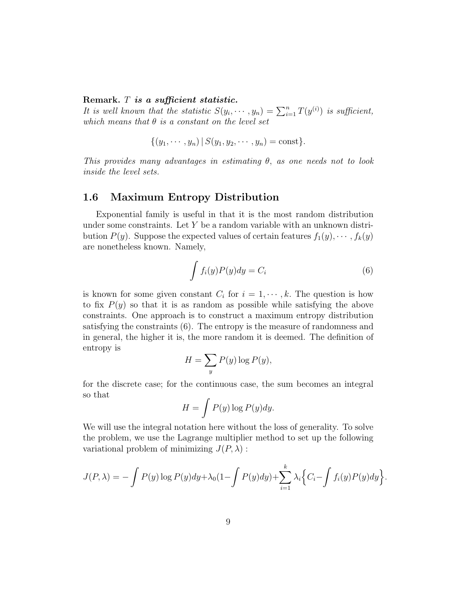#### Remark. T is a sufficient statistic.

It is well known that the statistic  $S(y_i, \dots, y_n) = \sum_{i=1}^n T(y^{(i)})$  is sufficient, which means that  $\theta$  is a constant on the level set

$$
\{(y_1, \cdots, y_n) | S(y_1, y_2, \cdots, y_n) = \text{const}\}.
$$

This provides many advantages in estimating  $\theta$ , as one needs not to look inside the level sets.

## 1.6 Maximum Entropy Distribution

Exponential family is useful in that it is the most random distribution under some constraints. Let  $Y$  be a random variable with an unknown distribution  $P(y)$ . Suppose the expected values of certain features  $f_1(y), \cdots, f_k(y)$ are nonetheless known. Namely,

$$
\int f_i(y)P(y)dy = C_i \tag{6}
$$

.

is known for some given constant  $C_i$  for  $i = 1, \dots, k$ . The question is how to fix  $P(y)$  so that it is as random as possible while satisfying the above constraints. One approach is to construct a maximum entropy distribution satisfying the constraints (6). The entropy is the measure of randomness and in general, the higher it is, the more random it is deemed. The definition of entropy is

$$
H = \sum_{y} P(y) \log P(y),
$$

for the discrete case; for the continuous case, the sum becomes an integral so that

$$
H = \int P(y) \log P(y) dy.
$$

We will use the integral notation here without the loss of generality. To solve the problem, we use the Lagrange multiplier method to set up the following variational problem of minimizing  $J(P, \lambda)$ :

$$
J(P, \lambda) = -\int P(y) \log P(y) dy + \lambda_0 (1 - \int P(y) dy) + \sum_{i=1}^k \lambda_i \left\{ C_i - \int f_i(y) P(y) dy \right\}
$$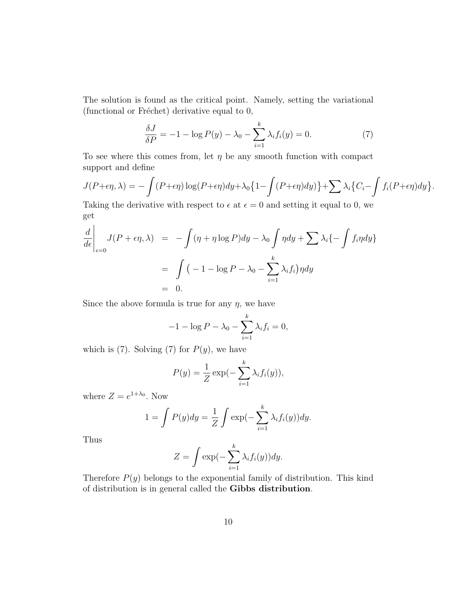The solution is found as the critical point. Namely, setting the variational (functional or Fréchet) derivative equal to  $0$ ,

$$
\frac{\delta J}{\delta P} = -1 - \log P(y) - \lambda_0 - \sum_{i=1}^{k} \lambda_i f_i(y) = 0.
$$
 (7)

To see where this comes from, let  $\eta$  be any smooth function with compact support and define

$$
J(P+\epsilon\eta,\lambda) = -\int (P+\epsilon\eta) \log(P+\epsilon\eta) dy + \lambda_0 \left\{1 - \int (P+\epsilon\eta) dy\right\} + \sum \lambda_i \left\{C_i - \int f_i(P+\epsilon\eta) dy\right\}.
$$

Taking the derivative with respect to  $\epsilon$  at  $\epsilon = 0$  and setting it equal to 0, we get

$$
\frac{d}{d\epsilon}\Big|_{\epsilon=0} J(P+\epsilon\eta,\lambda) = -\int (\eta+\eta\log P)dy - \lambda_0 \int \eta dy + \sum \lambda_i \{-\int f_i \eta dy\}
$$

$$
= \int (-1-\log P - \lambda_0 - \sum_{i=1}^k \lambda_i f_i) \eta dy
$$

$$
= 0.
$$

Since the above formula is true for any  $\eta$ , we have

$$
-1 - \log P - \lambda_0 - \sum_{i=1}^k \lambda_i f_i = 0,
$$

which is (7). Solving (7) for  $P(y)$ , we have

$$
P(y) = \frac{1}{Z} \exp(-\sum_{i=1}^{k} \lambda_i f_i(y)),
$$

k

where  $Z = e^{1+\lambda_0}$ . Now

$$
1 = \int P(y)dy = \frac{1}{Z} \int \exp(-\sum_{i=1}^{k} \lambda_i f_i(y))dy.
$$

Thus

$$
Z = \int \exp(-\sum_{i=1}^{k} \lambda_i f_i(y)) dy.
$$

Therefore  $P(y)$  belongs to the exponential family of distribution. This kind of distribution is in general called the Gibbs distribution.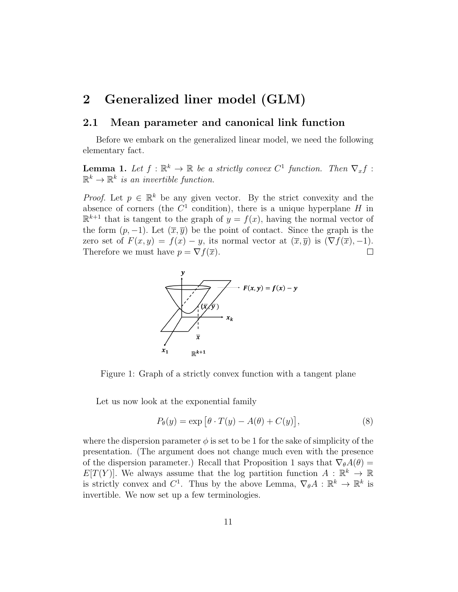# 2 Generalized liner model (GLM)

# 2.1 Mean parameter and canonical link function

Before we embark on the generalized linear model, we need the following elementary fact.

**Lemma 1.** Let  $f : \mathbb{R}^k \to \mathbb{R}$  be a strictly convex  $C^1$  function. Then  $\nabla_x f$ :  $\mathbb{R}^k \to \mathbb{R}^k$  is an invertible function.

*Proof.* Let  $p \in \mathbb{R}^k$  be any given vector. By the strict convexity and the absence of corners (the  $C<sup>1</sup>$  condition), there is a unique hyperplane H in  $\mathbb{R}^{k+1}$  that is tangent to the graph of  $y = f(x)$ , having the normal vector of the form  $(p, -1)$ . Let  $(\overline{x}, \overline{y})$  be the point of contact. Since the graph is the zero set of  $F(x, y) = f(x) - y$ , its normal vector at  $(\overline{x}, \overline{y})$  is  $(\nabla f(\overline{x}), -1)$ . Therefore we must have  $p = \nabla f(\overline{x})$ .  $\Box$ 



Figure 1: Graph of a strictly convex function with a tangent plane

Let us now look at the exponential family

$$
P_{\theta}(y) = \exp\left[\theta \cdot T(y) - A(\theta) + C(y)\right],\tag{8}
$$

where the dispersion parameter  $\phi$  is set to be 1 for the sake of simplicity of the presentation. (The argument does not change much even with the presence of the dispersion parameter.) Recall that Proposition 1 says that  $\nabla_{\theta}A(\theta)$  =  $E[T(Y)]$ . We always assume that the log partition function  $A: \mathbb{R}^k \to \mathbb{R}$ is strictly convex and  $C^1$ . Thus by the above Lemma,  $\nabla_{\theta} A : \mathbb{R}^k \to \mathbb{R}^k$  is invertible. We now set up a few terminologies.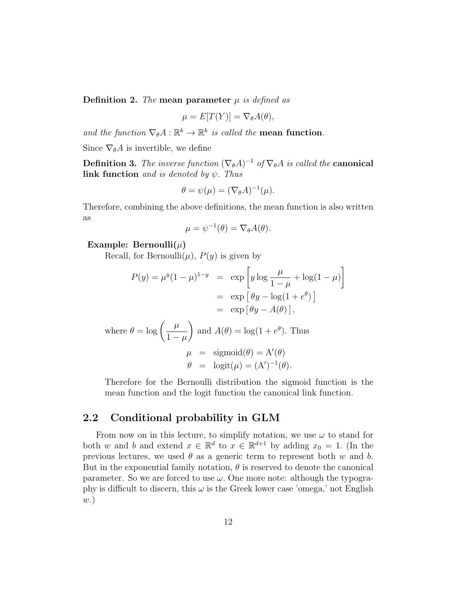**Definition 2.** The mean parameter  $\mu$  is defined as

$$
\mu = E[T(Y)] = \nabla_{\theta} A(\theta),
$$

and the function  $\nabla_{\theta} A : \mathbb{R}^k \to \mathbb{R}^k$  is called the **mean function**.

Since  $\nabla_{\theta}A$  is invertible, we define

**Definition 3.** The inverse function  $(\nabla_{\theta}A)^{-1}$  of  $\nabla_{\theta}A$  is called the **canonical** link function and is denoted by  $\psi$ . Thus

$$
\theta = \psi(\mu) = (\nabla_{\theta} A)^{-1}(\mu).
$$

Therefore, combining the above definitions, the mean function is also written as

$$
\mu = \psi^{-1}(\theta) = \nabla_{\theta} A(\theta).
$$

### Example: Bernoulli $(\mu)$

Recall, for Bernoulli $(\mu)$ ,  $P(y)$  is given by

$$
P(y) = \mu^{y} (1 - \mu)^{1 - y} = \exp \left[ y \log \frac{\mu}{1 - \mu} + \log(1 - \mu) \right]
$$

$$
= \exp \left[ \theta y - \log(1 + e^{\theta}) \right]
$$

$$
= \exp \left[ \theta y - A(\theta) \right],
$$

where 
$$
\theta = \log \left( \frac{\mu}{1 - \mu} \right)
$$
 and  $A(\theta) = \log(1 + e^{\theta})$ . Thus  
\n
$$
\mu = \text{sigmoid}(\theta) = A'(\theta)
$$
\n
$$
\theta = \text{logit}(\mu) = (A')^{-1}(\theta).
$$

Therefore for the Bernoulli distribution the sigmoid function is the mean function and the logit function the canonical link function.

# 2.2 Conditional probability in GLM

From now on in this lecture, to simplify notation, we use  $\omega$  to stand for both w and b and extend  $x \in \mathbb{R}^d$  to  $x \in \mathbb{R}^{d+1}$  by adding  $x_0 = 1$ . (In the previous lectures, we used  $\theta$  as a generic term to represent both w and b. But in the exponential family notation,  $\theta$  is reserved to denote the canonical parameter. So we are forced to use  $\omega$ . One more note: although the typography is difficult to discern, this  $\omega$  is the Greek lower case 'omega,' not English w.)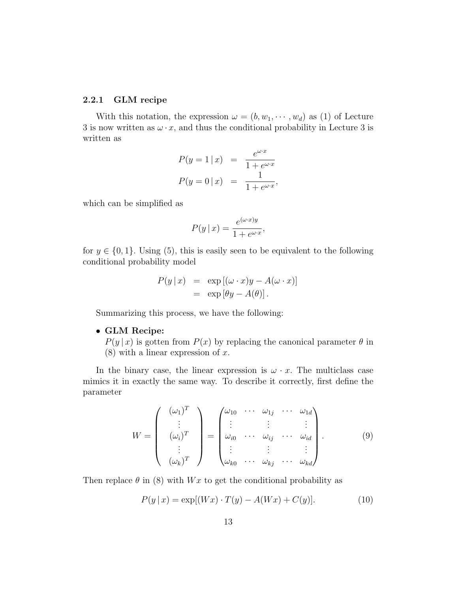## 2.2.1 GLM recipe

With this notation, the expression  $\omega = (b, w_1, \dots, w_d)$  as (1) of Lecture 3 is now written as  $\omega \cdot x$ , and thus the conditional probability in Lecture 3 is written as

$$
P(y = 1 | x) = \frac{e^{\omega \cdot x}}{1 + e^{\omega \cdot x}}
$$

$$
P(y = 0 | x) = \frac{1}{1 + e^{\omega \cdot x}},
$$

which can be simplified as

$$
P(y \mid x) = \frac{e^{(\omega \cdot x)y}}{1 + e^{\omega \cdot x}},
$$

for  $y \in \{0, 1\}$ . Using (5), this is easily seen to be equivalent to the following conditional probability model

$$
P(y \mid x) = \exp [(\omega \cdot x)y - A(\omega \cdot x)]
$$
  
=  $\exp [\theta y - A(\theta)].$ 

Summarizing this process, we have the following:

• GLM Recipe:

 $P(y | x)$  is gotten from  $P(x)$  by replacing the canonical parameter  $\theta$  in  $(8)$  with a linear expression of x.

In the binary case, the linear expression is  $\omega \cdot x$ . The multiclass case mimics it in exactly the same way. To describe it correctly, first define the parameter

$$
W = \begin{pmatrix} (\omega_1)^T \\ \vdots \\ (\omega_i)^T \\ \vdots \\ (\omega_k)^T \end{pmatrix} = \begin{pmatrix} \omega_{10} & \cdots & \omega_{1j} & \cdots & \omega_{1d} \\ \vdots & & \vdots & & \vdots \\ \omega_{i0} & \cdots & \omega_{ij} & \cdots & \omega_{id} \\ \vdots & & \vdots & & \vdots \\ \omega_{k0} & \cdots & \omega_{kj} & \cdots & \omega_{kd} \end{pmatrix} .
$$
 (9)

Then replace  $\theta$  in (8) with Wx to get the conditional probability as

$$
P(y \mid x) = \exp[(Wx) \cdot T(y) - A(Wx) + C(y)].
$$
\n(10)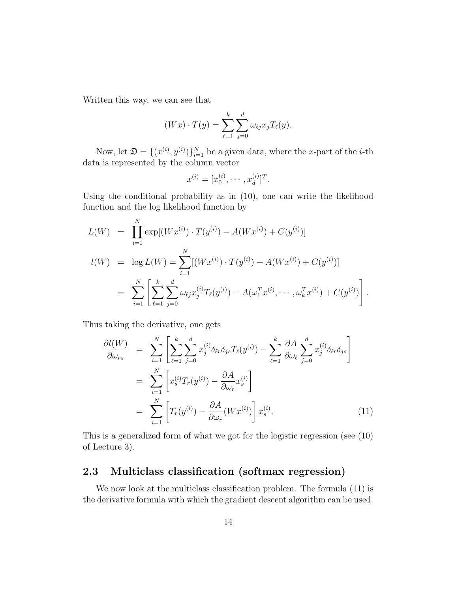Written this way, we can see that

$$
(Wx) \cdot T(y) = \sum_{\ell=1}^k \sum_{j=0}^d \omega_{\ell j} x_j T_{\ell}(y).
$$

Now, let  $\mathfrak{D} = \{(x^{(i)}, y^{(i)})\}_{i=1}^N$  be a given data, where the x-part of the *i*-th data is represented by the column vector

$$
x^{(i)} = [x_0^{(i)}, \cdots, x_d^{(i)}]^T.
$$

Using the conditional probability as in (10), one can write the likelihood function and the log likelihood function by

$$
L(W) = \prod_{i=1}^{N} \exp[(Wx^{(i)}) \cdot T(y^{(i)}) - A(Wx^{(i)}) + C(y^{(i)})]
$$
  
\n
$$
l(W) = \log L(W) = \sum_{i=1}^{N} [(Wx^{(i)}) \cdot T(y^{(i)}) - A(Wx^{(i)}) + C(y^{(i)})]
$$
  
\n
$$
= \sum_{i=1}^{N} \left[ \sum_{\ell=1}^{k} \sum_{j=0}^{d} \omega_{\ell j} x_{j}^{(i)} T_{\ell}(y^{(i)}) - A(\omega_{1}^{T} x^{(i)}, \dots, \omega_{k}^{T} x^{(i)}) + C(y^{(i)}) \right].
$$

Thus taking the derivative, one gets

$$
\frac{\partial l(W)}{\partial \omega_{rs}} = \sum_{i=1}^{N} \left[ \sum_{\ell=1}^{k} \sum_{j=0}^{d} x_{j}^{(i)} \delta_{\ell r} \delta_{js} T_{\ell}(y^{(i)}) - \sum_{\ell=1}^{k} \frac{\partial A}{\partial \omega_{\ell}} \sum_{j=0}^{d} x_{j}^{(i)} \delta_{\ell r} \delta_{js} \right]
$$

$$
= \sum_{i=1}^{N} \left[ x_{s}^{(i)} T_{r}(y^{(i)}) - \frac{\partial A}{\partial \omega_{r}} x_{s}^{(i)} \right]
$$

$$
= \sum_{i=1}^{N} \left[ T_{r}(y^{(i)}) - \frac{\partial A}{\partial \omega_{r}} (W x^{(i)}) \right] x_{s}^{(i)}.
$$
(11)

This is a generalized form of what we got for the logistic regression (see (10) of Lecture 3).

# 2.3 Multiclass classification (softmax regression)

We now look at the multiclass classification problem. The formula (11) is the derivative formula with which the gradient descent algorithm can be used.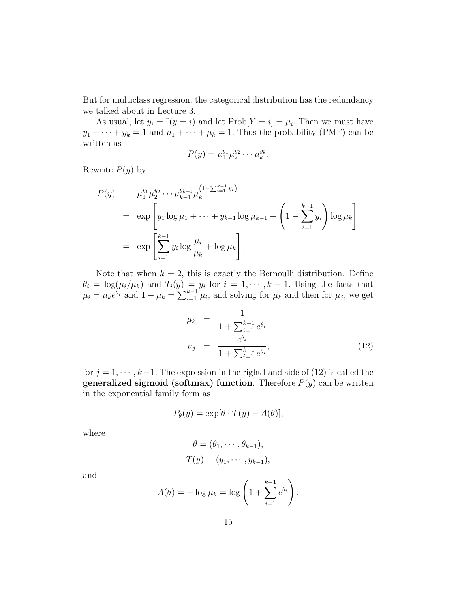But for multiclass regression, the categorical distribution has the redundancy we talked about in Lecture 3.

As usual, let  $y_i = \mathbb{I}(y = i)$  and let  $\text{Prob}[Y = i] = \mu_i$ . Then we must have  $y_1 + \cdots + y_k = 1$  and  $\mu_1 + \cdots + \mu_k = 1$ . Thus the probability (PMF) can be written as

$$
P(y) = \mu_1^{y_1} \mu_2^{y_2} \cdots \mu_k^{y_k}.
$$

Rewrite  $P(y)$  by

$$
P(y) = \mu_1^{y_1} \mu_2^{y_2} \cdots \mu_{k-1}^{y_{k-1}} \mu_k^{(1 - \sum_{i=1}^{k-1} y_i)}
$$
  
= 
$$
\exp\left[y_1 \log \mu_1 + \cdots + y_{k-1} \log \mu_{k-1} + \left(1 - \sum_{i=1}^{k-1} y_i\right) \log \mu_k\right]
$$
  
= 
$$
\exp\left[\sum_{i=1}^{k-1} y_i \log \frac{\mu_i}{\mu_k} + \log \mu_k\right].
$$

Note that when  $k = 2$ , this is exactly the Bernoulli distribution. Define  $\theta_i = \log(\mu_i/\mu_k)$  and  $T_i(y) = y_i$  for  $i = 1, \dots, k-1$ . Using the facts that  $\mu_i = \mu_k e^{\theta_i}$  and  $1 - \mu_k = \sum_{i=1}^{k-1} \mu_i$ , and solving for  $\mu_k$  and then for  $\mu_j$ , we get

$$
\mu_k = \frac{1}{1 + \sum_{i=1}^{k-1} e^{\theta_i}}
$$
  

$$
\mu_j = \frac{e^{\theta_j}}{1 + \sum_{i=1}^{k-1} e^{\theta_i}},
$$
 (12)

for  $j = 1, \dots, k-1$ . The expression in the right hand side of (12) is called the **generalized sigmoid (softmax) function.** Therefore  $P(y)$  can be written in the exponential family form as

$$
P_{\theta}(y) = \exp[\theta \cdot T(y) - A(\theta)],
$$

where

$$
\theta = (\theta_1, \cdots, \theta_{k-1}),
$$
  
\n
$$
T(y) = (y_1, \cdots, y_{k-1}),
$$

and

$$
A(\theta) = -\log \mu_k = \log \left( 1 + \sum_{i=1}^{k-1} e^{\theta_i} \right).
$$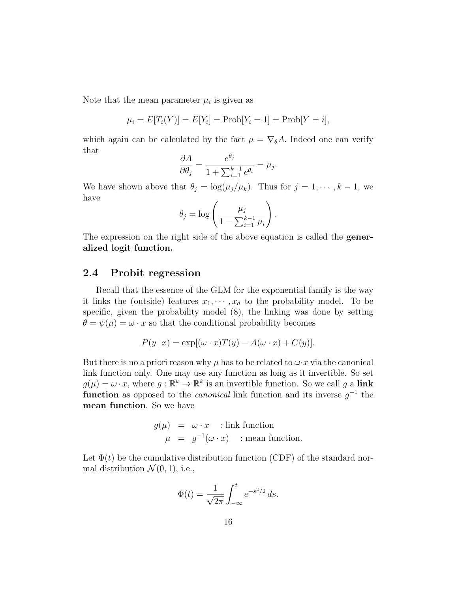Note that the mean parameter  $\mu_i$  is given as

$$
\mu_i = E[T_i(Y)] = E[Y_i] = Prob[Y_i = 1] = Prob[Y = i],
$$

which again can be calculated by the fact  $\mu = \nabla_{\theta} A$ . Indeed one can verify that

$$
\frac{\partial A}{\partial \theta_j} = \frac{e^{\theta_j}}{1 + \sum_{i=1}^{k-1} e^{\theta_i}} = \mu_j.
$$

We have shown above that  $\theta_j = \log(\mu_j/\mu_k)$ . Thus for  $j = 1, \dots, k - 1$ , we have

$$
\theta_j = \log \left( \frac{\mu_j}{1 - \sum_{i=1}^{k-1} \mu_i} \right).
$$

The expression on the right side of the above equation is called the generalized logit function.

## 2.4 Probit regression

Recall that the essence of the GLM for the exponential family is the way it links the (outside) features  $x_1, \dots, x_d$  to the probability model. To be specific, given the probability model (8), the linking was done by setting  $\theta = \psi(\mu) = \omega \cdot x$  so that the conditional probability becomes

$$
P(y \mid x) = \exp[(\omega \cdot x)T(y) - A(\omega \cdot x) + C(y)].
$$

But there is no a priori reason why  $\mu$  has to be related to  $\omega \cdot x$  via the canonical link function only. One may use any function as long as it invertible. So set  $g(\mu) = \omega \cdot x$ , where  $g: \mathbb{R}^k \to \mathbb{R}^k$  is an invertible function. So we call g a link **function** as opposed to the *canonical* link function and its inverse  $g^{-1}$  the mean function. So we have

$$
g(\mu) = \omega \cdot x \quad \text{: link function}
$$
  

$$
\mu = g^{-1}(\omega \cdot x) \quad \text{: mean function.}
$$

Let  $\Phi(t)$  be the cumulative distribution function (CDF) of the standard normal distribution  $\mathcal{N}(0, 1)$ , i.e.,

$$
\Phi(t) = \frac{1}{\sqrt{2\pi}} \int_{-\infty}^{t} e^{-s^2/2} \, ds.
$$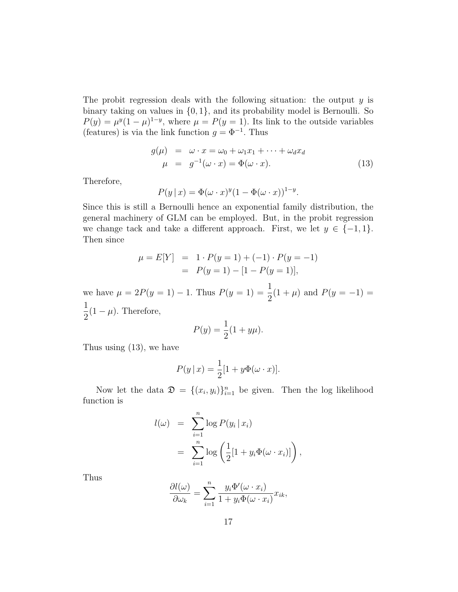The probit regression deals with the following situation: the output  $y$  is binary taking on values in  $\{0, 1\}$ , and its probability model is Bernoulli. So  $P(y) = \mu^{y} (1 - \mu)^{1-y}$ , where  $\mu = P(y = 1)$ . Its link to the outside variables (features) is via the link function  $g = \Phi^{-1}$ . Thus

$$
g(\mu) = \omega \cdot x = \omega_0 + \omega_1 x_1 + \dots + \omega_d x_d
$$
  

$$
\mu = g^{-1}(\omega \cdot x) = \Phi(\omega \cdot x).
$$
 (13)

Therefore,

$$
P(y \mid x) = \Phi(\omega \cdot x)^y (1 - \Phi(\omega \cdot x))^{1-y}.
$$

Since this is still a Bernoulli hence an exponential family distribution, the general machinery of GLM can be employed. But, in the probit regression we change tack and take a different approach. First, we let  $y \in \{-1, 1\}$ . Then since

$$
\mu = E[Y] = 1 \cdot P(y = 1) + (-1) \cdot P(y = -1)
$$
  
=  $P(y = 1) - [1 - P(y = 1)],$ 

we have  $\mu = 2P(y = 1) - 1$ . Thus  $P(y = 1) = \frac{1}{2}$ 2  $(1 + \mu)$  and  $P(y = -1) =$ 1 2  $(1 - \mu)$ . Therefore,

$$
P(y) = \frac{1}{2}(1 + y\mu).
$$

Thus using (13), we have

$$
P(y \mid x) = \frac{1}{2} [1 + y \Phi(\omega \cdot x)].
$$

Now let the data  $\mathfrak{D} = \{(x_i, y_i)\}_{i=1}^n$  be given. Then the log likelihood function is

$$
l(\omega) = \sum_{i=1}^{n} \log P(y_i | x_i)
$$
  
= 
$$
\sum_{i=1}^{n} \log \left( \frac{1}{2} [1 + y_i \Phi(\omega \cdot x_i)] \right),
$$

Thus

$$
\frac{\partial l(\omega)}{\partial \omega_k} = \sum_{i=1}^n \frac{y_i \Phi'(\omega \cdot x_i)}{1 + y_i \Phi(\omega \cdot x_i)} x_{ik},
$$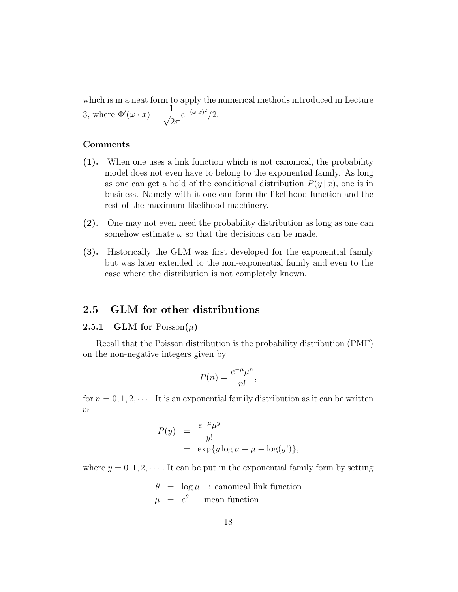which is in a neat form to apply the numerical methods introduced in Lecture 3, where  $\Phi'(\omega \cdot x) = \frac{1}{\sqrt{2}}$  $2\pi$  $e^{-(\omega \cdot x)^2}/2.$ 

### Comments

- (1). When one uses a link function which is not canonical, the probability model does not even have to belong to the exponential family. As long as one can get a hold of the conditional distribution  $P(y | x)$ , one is in business. Namely with it one can form the likelihood function and the rest of the maximum likelihood machinery.
- (2). One may not even need the probability distribution as long as one can somehow estimate  $\omega$  so that the decisions can be made.
- (3). Historically the GLM was first developed for the exponential family but was later extended to the non-exponential family and even to the case where the distribution is not completely known.

# 2.5 GLM for other distributions

## **2.5.1 GLM for Poisson** $(\mu)$

Recall that the Poisson distribution is the probability distribution (PMF) on the non-negative integers given by

$$
P(n) = \frac{e^{-\mu}\mu^n}{n!},
$$

for  $n = 0, 1, 2, \cdots$ . It is an exponential family distribution as it can be written as

$$
P(y) = \frac{e^{-\mu} \mu^{y}}{y!}
$$
  
=  $\exp\{y \log \mu - \mu - \log(y!)\},$ 

where  $y = 0, 1, 2, \dots$ . It can be put in the exponential family form by setting

$$
\theta = \log \mu : \text{canonical link function}
$$
  

$$
\mu = e^{\theta} : \text{mean function.}
$$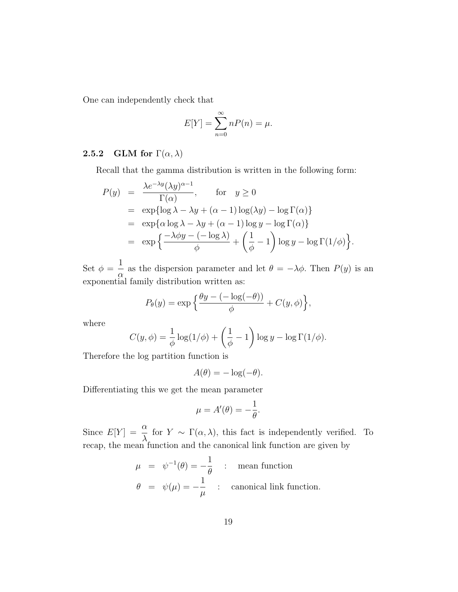One can independently check that

$$
E[Y] = \sum_{n=0}^{\infty} nP(n) = \mu.
$$

# 2.5.2 GLM for  $\Gamma(\alpha, \lambda)$

Recall that the gamma distribution is written in the following form:

$$
P(y) = \frac{\lambda e^{-\lambda y} (\lambda y)^{\alpha - 1}}{\Gamma(\alpha)}, \quad \text{for} \quad y \ge 0
$$
  
=  $\exp{\{\log \lambda - \lambda y + (\alpha - 1) \log(\lambda y) - \log \Gamma(\alpha)\}}$   
=  $\exp{\{\alpha \log \lambda - \lambda y + (\alpha - 1) \log y - \log \Gamma(\alpha)\}}$   
=  $\exp{\left\{\frac{-\lambda \phi y - (-\log \lambda)}{\phi} + \left(\frac{1}{\phi} - 1\right) \log y - \log \Gamma(1/\phi)\right\}}.$ 

Set  $\phi =$ 1 α as the dispersion parameter and let  $\theta = -\lambda \phi$ . Then  $P(y)$  is an exponential family distribution written as:

$$
P_{\theta}(y) = \exp\left\{\frac{\theta y - (-\log(-\theta))}{\phi} + C(y,\phi)\right\},\,
$$

where

$$
C(y, \phi) = \frac{1}{\phi} \log(1/\phi) + \left(\frac{1}{\phi} - 1\right) \log y - \log \Gamma(1/\phi).
$$

Therefore the log partition function is

$$
A(\theta) = -\log(-\theta).
$$

Differentiating this we get the mean parameter

$$
\mu = A'(\theta) = -\frac{1}{\theta}.
$$

Since  $E[Y] = \frac{\alpha}{\lambda}$ λ for  $Y \sim \Gamma(\alpha, \lambda)$ , this fact is independently verified. To recap, the mean function and the canonical link function are given by

$$
\mu = \psi^{-1}(\theta) = -\frac{1}{\theta} : mean function
$$
  

$$
\theta = \psi(\mu) = -\frac{1}{\mu} : canonical link function.
$$